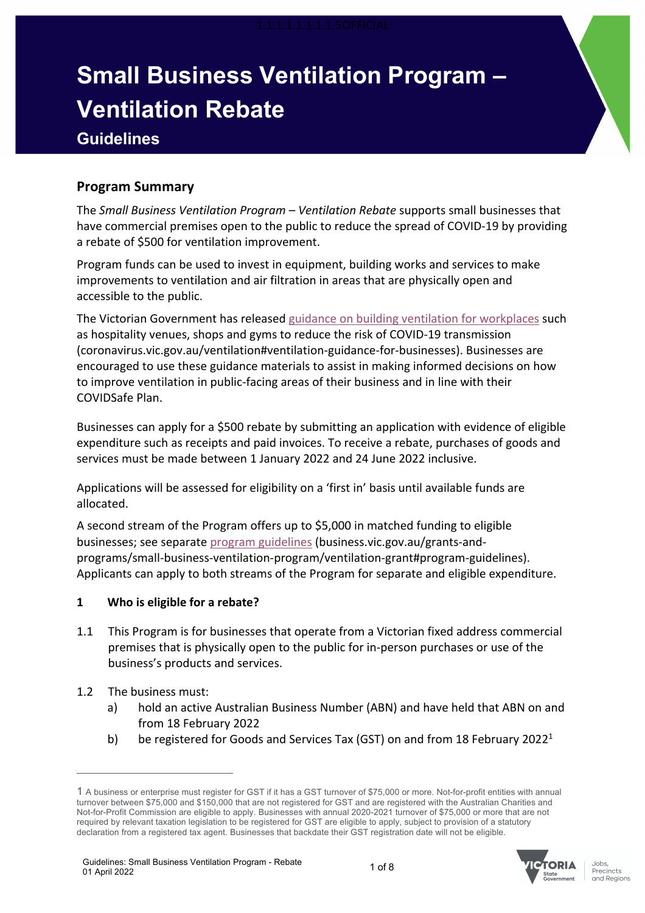# **Small Business Ventilation Program – Ventilation Rebate Guidelines**

## **Program Summary**

The *Small Business Ventilation Program – Ventilation Rebate* supports small businesses that have commercial premises open to the public to reduce the spread of COVID-19 by providing a rebate of \$500 for ventilation improvement.

Program funds can be used to invest in equipment, building works and services to make improvements to ventilation and air filtration in areas that are physically open and accessible to the public.

The Victorian Government has released guidance on building ventilation for workplaces such as hospitality venues, shops and gyms to reduce the risk of COVID-19 transmission (coronavirus.vic.gov.au/ventilation#ventilation-guidance-for-businesses). Businesses are encouraged to use these guidance materials to assist in making informed decisions on how to improve ventilation in public-facing areas of their business and in line with their COVIDSafe Plan.

Businesses can apply for a \$500 rebate by submitting an application with evidence of eligible expenditure such as receipts and paid invoices. To receive a rebate, purchases of goods and services must be made between 1 January 2022 and 24 June 2022 inclusive.

Applications will be assessed for eligibility on a 'first in' basis until available funds are allocated.

A second stream of the Program offers up to \$5,000 in matched funding to eligible businesses; see separate program guidelines (business.vic.gov.au/grants-andprograms/small-business-ventilation-program/ventilation-grant#program-guidelines). Applicants can apply to both streams of the Program for separate and eligible expenditure.

## **1 Who is eligible for a rebate?**

- 1.1 This Program is for businesses that operate from a Victorian fixed address commercial premises that is physically open to the public for in-person purchases or use of the business's products and services.
- 1.2 The business must:
	- a) hold an active Australian Business Number (ABN) and have held that ABN on and from 18 February 2022
	- b) be registered for Goods and Services Tax (GST) on and from 18 February 2022<sup>1</sup>



<sup>1</sup> A business or enterprise must register for GST if it has a GST turnover of \$75,000 or more. Not-for-profit entities with annual turnover between \$75,000 and \$150,000 that are not registered for GST and are registered with the Australian Charities and Not-for-Profit Commission are eligible to apply. Businesses with annual 2020-2021 turnover of \$75,000 or more that are not required by relevant taxation legislation to be registered for GST are eligible to apply, subject to provision of a statutory declaration from a registered tax agent. Businesses that backdate their GST registration date will not be eligible.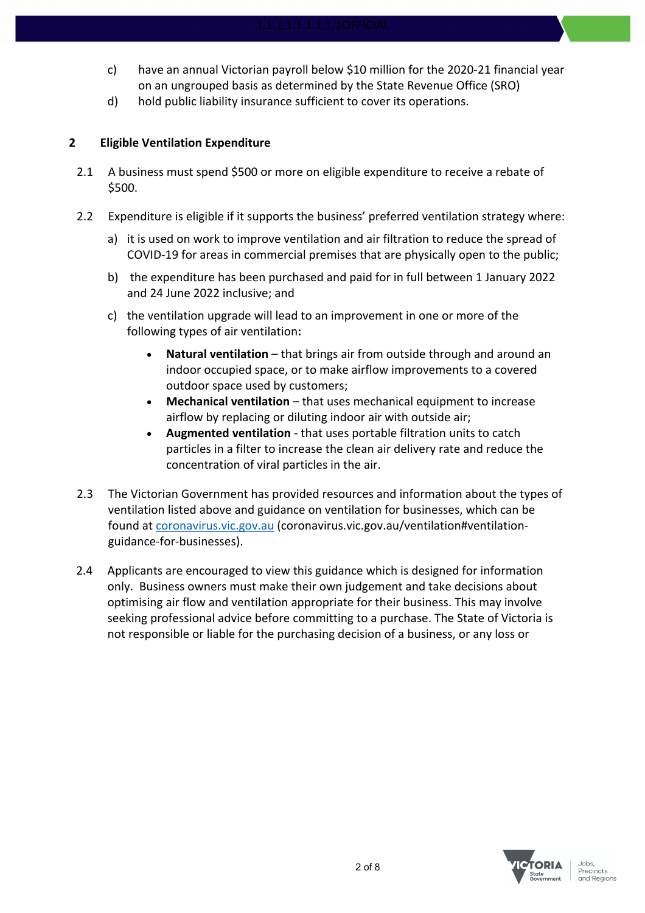- c) have an annual Victorian payroll below \$10 million for the 2020-21 financial year on an ungrouped basis as determined by the State Revenue Office (SRO)
- d) hold public liability insurance sufficient to cover its operations.

## **2 Eligible Ventilation Expenditure**

- 2.1 A business must spend \$500 or more on eligible expenditure to receive a rebate of \$500.
- 2.2 Expenditure is eligible if it supports the business' preferred ventilation strategy where:
	- a) it is used on work to improve ventilation and air filtration to reduce the spread of COVID-19 for areas in commercial premises that are physically open to the public;
	- b) the expenditure has been purchased and paid for in full between 1 January 2022 and 24 June 2022 inclusive; and
	- c) the ventilation upgrade will lead to an improvement in one or more of the following types of air ventilation**:**
		- **Natural ventilation** that brings air from outside through and around an indoor occupied space, or to make airflow improvements to a covered outdoor space used by customers;
		- **Mechanical ventilation** that uses mechanical equipment to increase airflow by replacing or diluting indoor air with outside air;
		- **Augmented ventilation** that uses portable filtration units to catch particles in a filter to increase the clean air delivery rate and reduce the concentration of viral particles in the air.
- 2.3 The Victorian Government has provided resources and information about the types of ventilation listed above and guidance on ventilation for businesses, which can be found at coronavirus.vic.gov.au (coronavirus.vic.gov.au/ventilation#ventilationguidance-for-businesses).
- 2.4 Applicants are encouraged to view this guidance which is designed for information only. Business owners must make their own judgement and take decisions about optimising air flow and ventilation appropriate for their business. This may involve seeking professional advice before committing to a purchase. The State of Victoria is not responsible or liable for the purchasing decision of a business, or any loss or

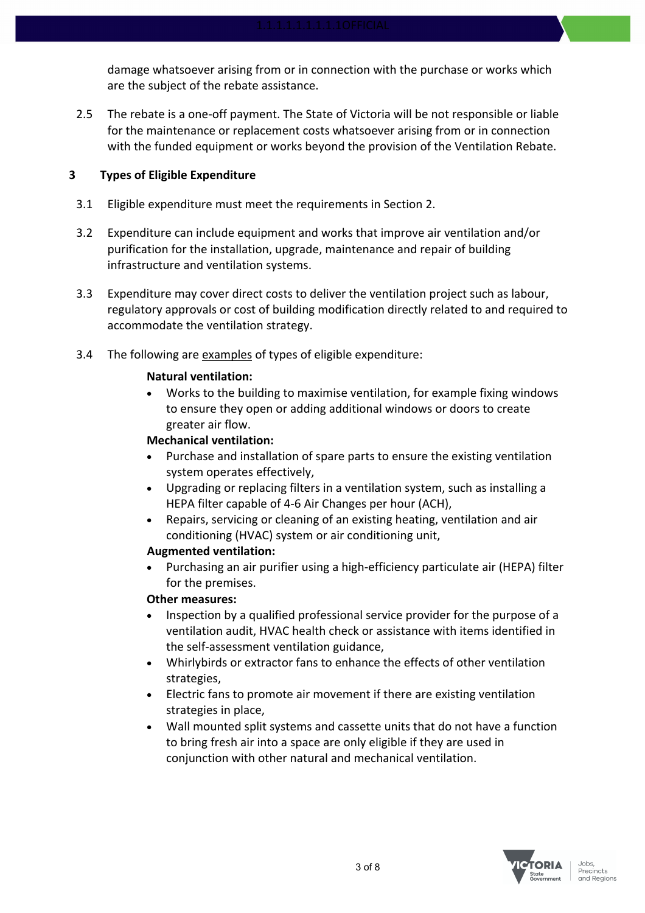damage whatsoever arising from or in connection with the purchase or works which are the subject of the rebate assistance.

2.5 The rebate is a one-off payment. The State of Victoria will be not responsible or liable for the maintenance or replacement costs whatsoever arising from or in connection with the funded equipment or works beyond the provision of the Ventilation Rebate.

## **3 Types of Eligible Expenditure**

- 3.1 Eligible expenditure must meet the requirements in Section 2.
- 3.2 Expenditure can include equipment and works that improve air ventilation and/or purification for the installation, upgrade, maintenance and repair of building infrastructure and ventilation systems.
- 3.3 Expenditure may cover direct costs to deliver the ventilation project such as labour, regulatory approvals or cost of building modification directly related to and required to accommodate the ventilation strategy.
- 3.4 The following are examples of types of eligible expenditure:

## **Natural ventilation:**

• Works to the building to maximise ventilation, for example fixing windows to ensure they open or adding additional windows or doors to create greater air flow.

## **Mechanical ventilation:**

- Purchase and installation of spare parts to ensure the existing ventilation system operates effectively,
- Upgrading or replacing filters in a ventilation system, such as installing a HEPA filter capable of 4-6 Air Changes per hour (ACH),
- Repairs, servicing or cleaning of an existing heating, ventilation and air conditioning (HVAC) system or air conditioning unit,

## **Augmented ventilation:**

• Purchasing an air purifier using a high-efficiency particulate air (HEPA) filter for the premises.

## **Other measures:**

- Inspection by a qualified professional service provider for the purpose of a ventilation audit, HVAC health check or assistance with items identified in the self-assessment ventilation guidance,
- Whirlybirds or extractor fans to enhance the effects of other ventilation strategies,
- Electric fans to promote air movement if there are existing ventilation strategies in place,
- Wall mounted split systems and cassette units that do not have a function to bring fresh air into a space are only eligible if they are used in conjunction with other natural and mechanical ventilation.

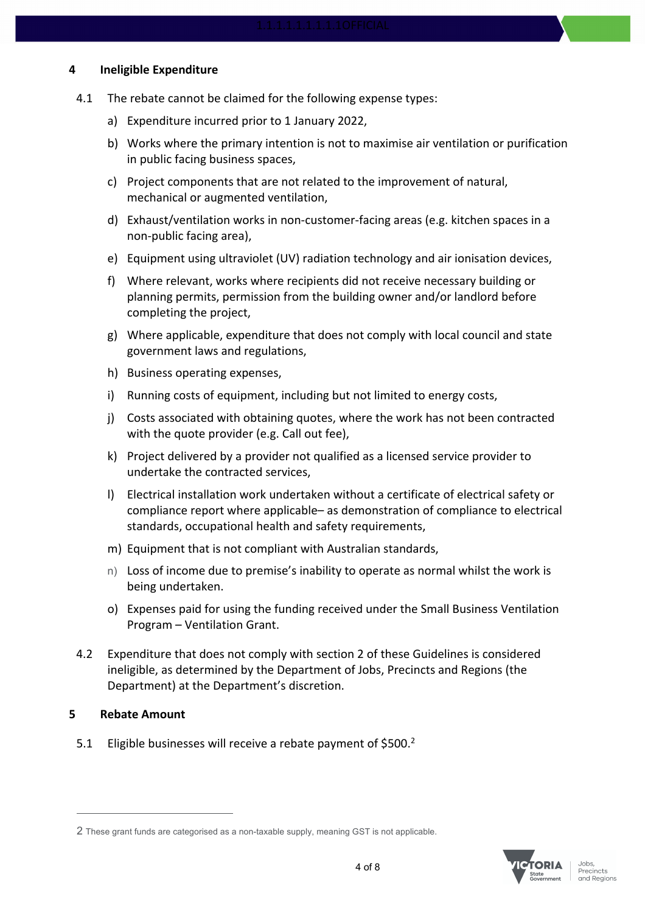#### **4 Ineligible Expenditure**

- 4.1 The rebate cannot be claimed for the following expense types:
	- a) Expenditure incurred prior to 1 January 2022,
	- b) Works where the primary intention is not to maximise air ventilation or purification in public facing business spaces,
	- c) Project components that are not related to the improvement of natural, mechanical or augmented ventilation,
	- d) Exhaust/ventilation works in non-customer-facing areas (e.g. kitchen spaces in a non-public facing area),
	- e) Equipment using ultraviolet (UV) radiation technology and air ionisation devices,
	- f) Where relevant, works where recipients did not receive necessary building or planning permits, permission from the building owner and/or landlord before completing the project,
	- g) Where applicable, expenditure that does not comply with local council and state government laws and regulations,
	- h) Business operating expenses,
	- i) Running costs of equipment, including but not limited to energy costs,
	- j) Costs associated with obtaining quotes, where the work has not been contracted with the quote provider (e.g. Call out fee),
	- k) Project delivered by a provider not qualified as a licensed service provider to undertake the contracted services,
	- l) Electrical installation work undertaken without a certificate of electrical safety or compliance report where applicable– as demonstration of compliance to electrical standards, occupational health and safety requirements,
	- m) Equipment that is not compliant with Australian standards,
	- n) Loss of income due to premise's inability to operate as normal whilst the work is being undertaken.
	- o) Expenses paid for using the funding received under the Small Business Ventilation Program – Ventilation Grant.
- 4.2 Expenditure that does not comply with section 2 of these Guidelines is considered ineligible, as determined by the Department of Jobs, Precincts and Regions (the Department) at the Department's discretion.

#### **5 Rebate Amount**

5.1 Eligible businesses will receive a rebate payment of \$500. $^2$ 



<sup>2</sup> These grant funds are categorised as a non-taxable supply, meaning GST is not applicable.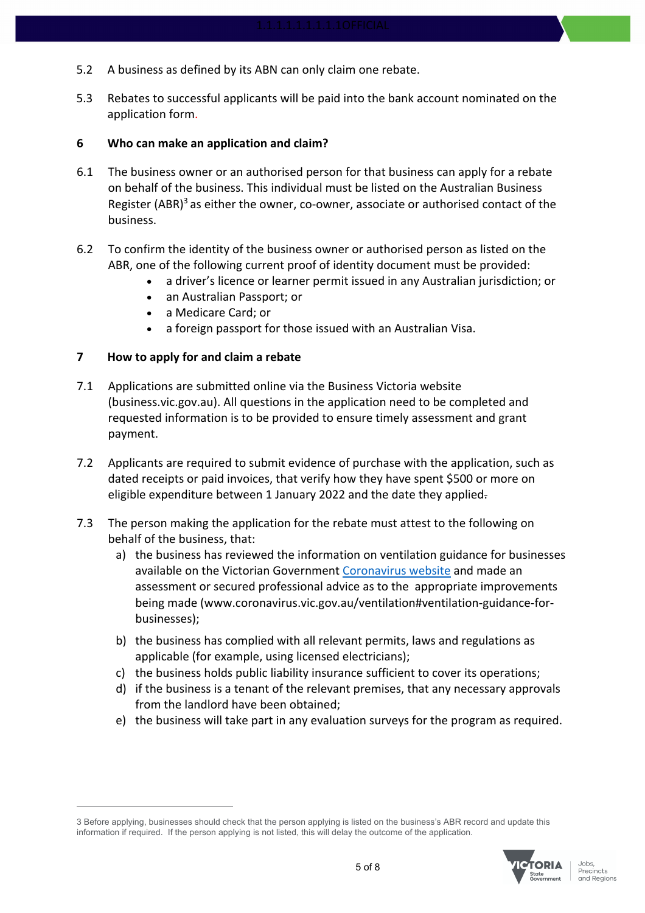- 5.2 A business as defined by its ABN can only claim one rebate.
- 5.3 Rebates to successful applicants will be paid into the bank account nominated on the application form.

#### **6 Who can make an application and claim?**

- 6.1 The business owner or an authorised person for that business can apply for a rebate on behalf of the business. This individual must be listed on the Australian Business Register (ABR) $3$  as either the owner, co-owner, associate or authorised contact of the business.
- 6.2 To confirm the identity of the business owner or authorised person as listed on the ABR, one of the following current proof of identity document must be provided:
	- a driver's licence or learner permit issued in any Australian jurisdiction; or
	- an Australian Passport; or
	- a Medicare Card; or
	- a foreign passport for those issued with an Australian Visa.

#### **7 How to apply for and claim a rebate**

- 7.1 Applications are submitted online via the Business Victoria website (business.vic.gov.au). All questions in the application need to be completed and requested information is to be provided to ensure timely assessment and grant payment.
- 7.2 Applicants are required to submit evidence of purchase with the application, such as dated receipts or paid invoices, that verify how they have spent \$500 or more on eligible expenditure between 1 January 2022 and the date they applied-
- 7.3 The person making the application for the rebate must attest to the following on behalf of the business, that:
	- a) the business has reviewed the information on ventilation guidance for businesses available on the Victorian Government Coronavirus website and made an assessment or secured professional advice as to the appropriate improvements being made (www.coronavirus.vic.gov.au/ventilation#ventilation-guidance-forbusinesses);
	- b) the business has complied with all relevant permits, laws and regulations as applicable (for example, using licensed electricians);
	- c) the business holds public liability insurance sufficient to cover its operations;
	- d) if the business is a tenant of the relevant premises, that any necessary approvals from the landlord have been obtained;
	- e) the business will take part in any evaluation surveys for the program as required.

<sup>3</sup> Before applying, businesses should check that the person applying is listed on the business's ABR record and update this information if required. If the person applying is not listed, this will delay the outcome of the application.

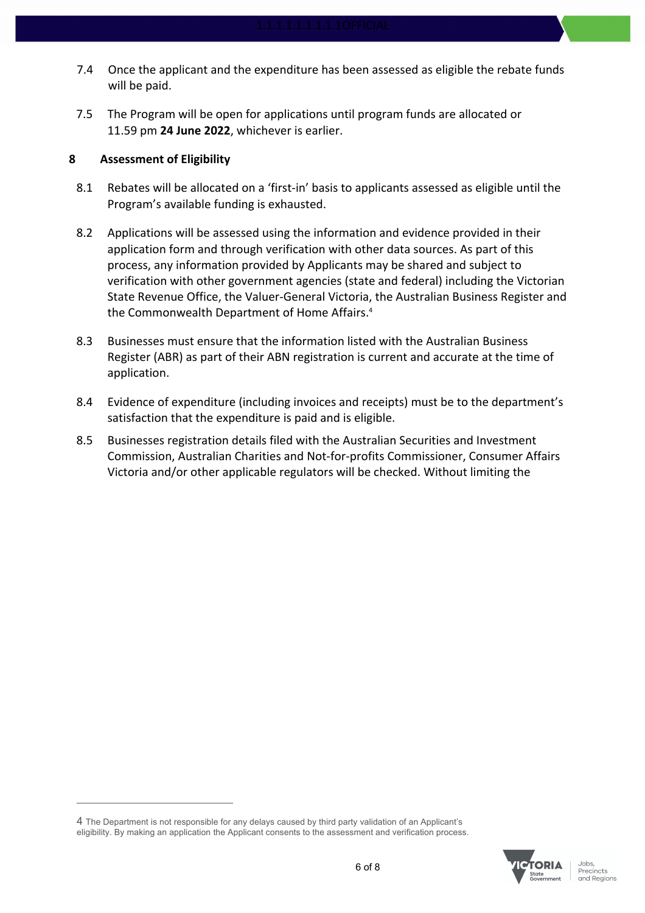- 7.4 Once the applicant and the expenditure has been assessed as eligible the rebate funds will be paid.
- 7.5 The Program will be open for applications until program funds are allocated or 11.59 pm **24 June 2022**, whichever is earlier.

#### **8 Assessment of Eligibility**

- 8.1 Rebates will be allocated on a 'first-in' basis to applicants assessed as eligible until the Program's available funding is exhausted.
- 8.2 Applications will be assessed using the information and evidence provided in their application form and through verification with other data sources. As part of this process, any information provided by Applicants may be shared and subject to verification with other government agencies (state and federal) including the Victorian State Revenue Office, the Valuer-General Victoria, the Australian Business Register and the Commonwealth Department of Home Affairs.4
- 8.3 Businesses must ensure that the information listed with the Australian Business Register (ABR) as part of their ABN registration is current and accurate at the time of application.
- 8.4 Evidence of expenditure (including invoices and receipts) must be to the department's satisfaction that the expenditure is paid and is eligible.
- 8.5 Businesses registration details filed with the Australian Securities and Investment Commission, Australian Charities and Not-for-profits Commissioner, Consumer Affairs Victoria and/or other applicable regulators will be checked. Without limiting the

<sup>4</sup> The Department is not responsible for any delays caused by third party validation of an Applicant's eligibility. By making an application the Applicant consents to the assessment and verification process.

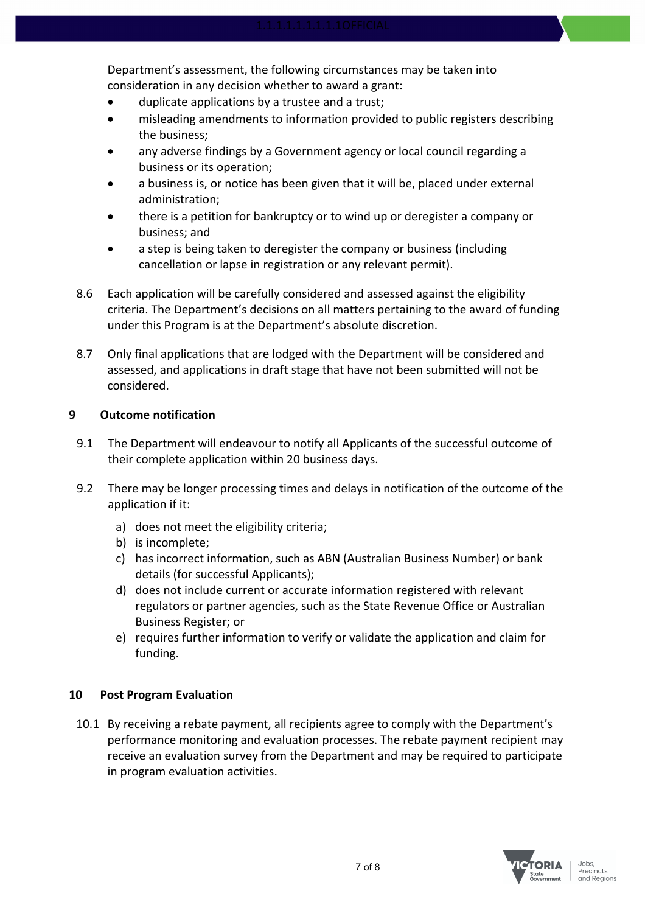Department's assessment, the following circumstances may be taken into consideration in any decision whether to award a grant:

- duplicate applications by a trustee and a trust;
- misleading amendments to information provided to public registers describing the business;
- any adverse findings by a Government agency or local council regarding a business or its operation;
- a business is, or notice has been given that it will be, placed under external administration;
- there is a petition for bankruptcy or to wind up or deregister a company or business; and
- a step is being taken to deregister the company or business (including cancellation or lapse in registration or any relevant permit).
- 8.6 Each application will be carefully considered and assessed against the eligibility criteria. The Department's decisions on all matters pertaining to the award of funding under this Program is at the Department's absolute discretion.
- 8.7 Only final applications that are lodged with the Department will be considered and assessed, and applications in draft stage that have not been submitted will not be considered.

## **9 Outcome notification**

- 9.1 The Department will endeavour to notify all Applicants of the successful outcome of their complete application within 20 business days.
- 9.2 There may be longer processing times and delays in notification of the outcome of the application if it:
	- a) does not meet the eligibility criteria;
	- b) is incomplete;
	- c) has incorrect information, such as ABN (Australian Business Number) or bank details (for successful Applicants);
	- d) does not include current or accurate information registered with relevant regulators or partner agencies, such as the State Revenue Office or Australian Business Register; or
	- e) requires further information to verify or validate the application and claim for funding.

## **10 Post Program Evaluation**

10.1 By receiving a rebate payment, all recipients agree to comply with the Department's performance monitoring and evaluation processes. The rebate payment recipient may receive an evaluation survey from the Department and may be required to participate in program evaluation activities.